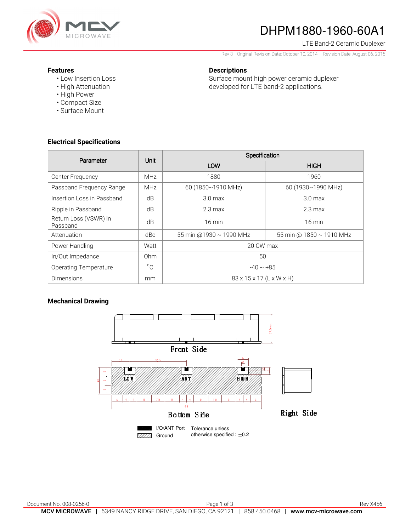

# DHPM1880-1960-60A1

LTE Band-2 Ceramic Duplexer

Rev 3– Original Revision Date: October 10, 2014 – Revision Date: August 06, 2015

#### **Features**

- Low Insertion Loss
- High Attenuation
- High Power
- Compact Size
- Surface Mount

### **Descriptions**

Surface mount high power ceramic duplexer developed for LTE band-2 applications.

#### **Electrical Specifications**

| Parameter                         | Unit         | Specification                        |                          |
|-----------------------------------|--------------|--------------------------------------|--------------------------|
|                                   |              | LOW                                  | <b>HIGH</b>              |
| Center Frequency                  | <b>MHz</b>   | 1880                                 | 1960                     |
| Passband Frequency Range          | <b>MHz</b>   | 60 (1850~1910 MHz)                   | 60 (1930~1990 MHz)       |
| Insertion Loss in Passband        | dB           | 3.0 <sub>max</sub>                   | 3.0 <sub>max</sub>       |
| Ripple in Passband                | dB           | $2.3 \text{ max}$                    | $2.3 \text{ max}$        |
| Return Loss (VSWR) in<br>Passband | dB           | $16 \text{ min}$                     | $16 \text{ min}$         |
| Attenuation                       | dBc          | 55 min @1930 ~ 1990 MHz              | 55 min @ 1850 ~ 1910 MHz |
| Power Handling                    | Watt         | 20 CW max                            |                          |
| In/Out Impedance                  | Ohm          | 50                                   |                          |
| <b>Operating Temperature</b>      | $^{\circ}$ C | $-40 \sim +85$                       |                          |
| <b>Dimensions</b>                 | mm           | $83 \times 15 \times 17$ (L x W x H) |                          |

#### **Mechanical Drawing**

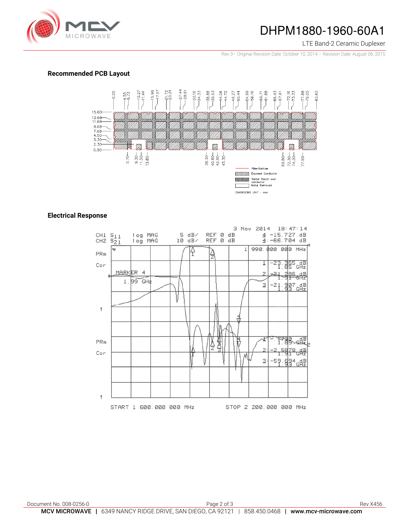

## DHPM1880-1960-60A1

LTE Band-2 Ceramic Duplexer

Rev 3– Original Revision Date: October 10, 2014 – Revision Date: August 06, 2015

#### **Recommended PCB Layout**



#### **Electrical Response**